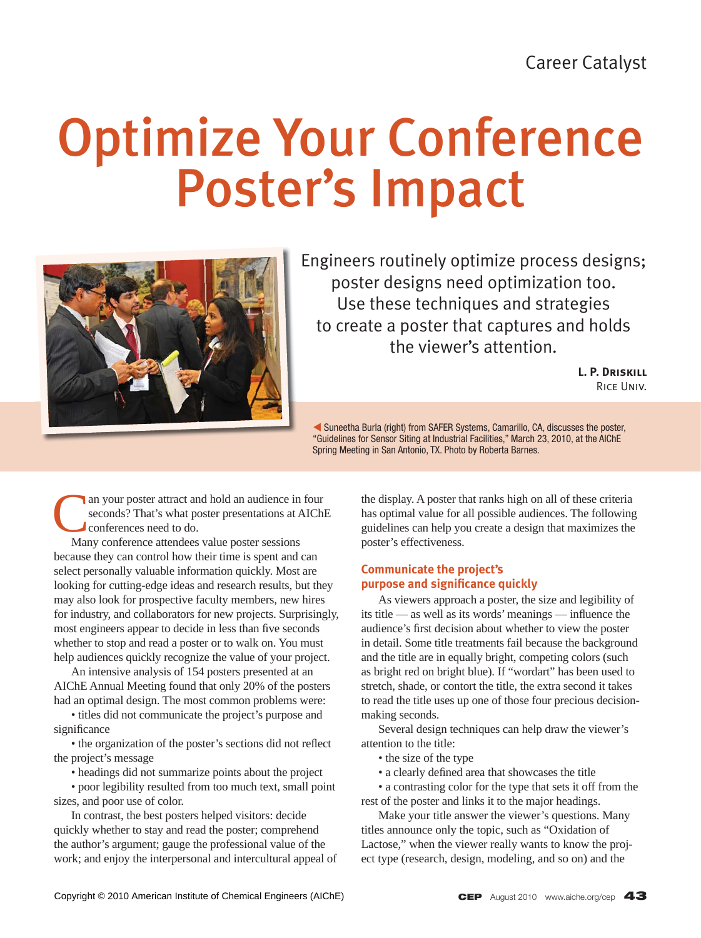# Optimize Your Conference Poster's Impact



Engineers routinely optimize process designs; poster designs need optimization too. Use these techniques and strategies to create a poster that captures and holds the viewer's attention.

> **L. P. Driskill** Rice Univ.

W Suneetha Burla (right) from SAFER Systems, Camarillo, CA, discusses the poster, "Guidelines for Sensor Siting at Industrial Facilities," March 23, 2010, at the AIChE Spring Meeting in San Antonio, TX. Photo by Roberta Barnes.

an your poster attract and hold an audience in four seconds? That's what poster presentations at AIChE conferences need to do.

 Many conference attendees value poster sessions because they can control how their time is spent and can select personally valuable information quickly. Most are looking for cutting-edge ideas and research results, but they may also look for prospective faculty members, new hires for industry, and collaborators for new projects. Surprisingly, most engineers appear to decide in less than five seconds whether to stop and read a poster or to walk on. You must help audiences quickly recognize the value of your project.

 An intensive analysis of 154 posters presented at an AIChE Annual Meeting found that only 20% of the posters had an optimal design. The most common problems were:

 • titles did not communicate the project's purpose and significance

• the organization of the poster's sections did not reflect the project's message

• headings did not summarize points about the project

 • poor legibility resulted from too much text, small point sizes, and poor use of color.

 In contrast, the best posters helped visitors: decide quickly whether to stay and read the poster; comprehend the author's argument; gauge the professional value of the work; and enjoy the interpersonal and intercultural appeal of

the display. A poster that ranks high on all of these criteria has optimal value for all possible audiences. The following guidelines can help you create a design that maximizes the poster's effectiveness.

# **Communicate the project's purpose and significance quickly**

 As viewers approach a poster, the size and legibility of its title — as well as its words' meanings — influence the audience's first decision about whether to view the poster in detail. Some title treatments fail because the background and the title are in equally bright, competing colors (such as bright red on bright blue). If "wordart" has been used to stretch, shade, or contort the title, the extra second it takes to read the title uses up one of those four precious decisionmaking seconds.

 Several design techniques can help draw the viewer's attention to the title:

- the size of the type
- a clearly defined area that showcases the title

 • a contrasting color for the type that sets it off from the rest of the poster and links it to the major headings.

 Make your title answer the viewer's questions. Many titles announce only the topic, such as "Oxidation of Lactose," when the viewer really wants to know the project type (research, design, modeling, and so on) and the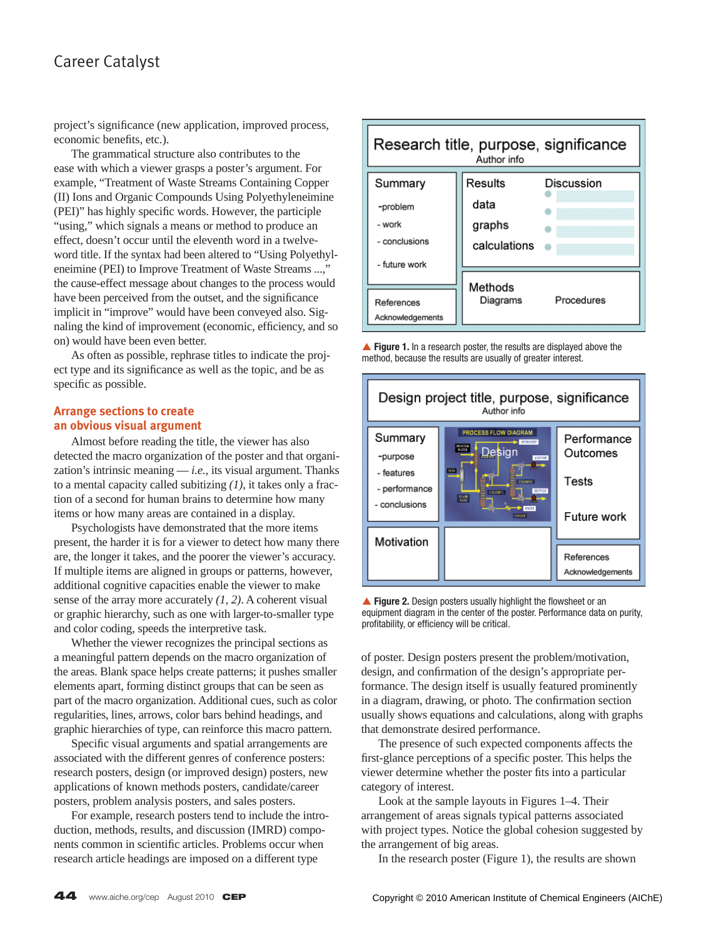# Career Catalyst

project's significance (new application, improved process, economic benefits, etc.).

 The grammatical structure also contributes to the ease with which a viewer grasps a poster's argument. For example, "Treatment of Waste Streams Containing Copper (II) Ions and Organic Compounds Using Polyethyleneimine (PEI)" has highly specific words. However, the participle "using," which signals a means or method to produce an effect, doesn't occur until the eleventh word in a twelveword title. If the syntax had been altered to "Using Polyethyleneimine (PEI) to Improve Treatment of Waste Streams ...," the cause-effect message about changes to the process would have been perceived from the outset, and the significance implicit in "improve" would have been conveyed also. Signaling the kind of improvement (economic, efficiency, and so on) would have been even better.

 As often as possible, rephrase titles to indicate the project type and its significance as well as the topic, and be as specific as possible.

# **Arrange sections to create an obvious visual argument**

 Almost before reading the title, the viewer has also detected the macro organization of the poster and that organization's intrinsic meaning — *i.e.*, its visual argument. Thanks to a mental capacity called subitizing *(1)*, it takes only a fraction of a second for human brains to determine how many items or how many areas are contained in a display.

 Psychologists have demonstrated that the more items present, the harder it is for a viewer to detect how many there are, the longer it takes, and the poorer the viewer's accuracy. If multiple items are aligned in groups or patterns, however, additional cognitive capacities enable the viewer to make sense of the array more accurately *(1, 2)*. A coherent visual or graphic hierarchy, such as one with larger-to-smaller type and color coding, speeds the interpretive task.

 Whether the viewer recognizes the principal sections as a meaningful pattern depends on the macro organization of the areas. Blank space helps create patterns; it pushes smaller elements apart, forming distinct groups that can be seen as part of the macro organization. Additional cues, such as color regularities, lines, arrows, color bars behind headings, and graphic hierarchies of type, can reinforce this macro pattern.

Specific visual arguments and spatial arrangements are associated with the different genres of conference posters: research posters, design (or improved design) posters, new applications of known methods posters, candidate/career posters, problem analysis posters, and sales posters.

 For example, research posters tend to include the introduction, methods, results, and discussion (IMRD) components common in scientific articles. Problems occur when research article headings are imposed on a different type



**■ Figure 1.** In a research poster, the results are displayed above the method, because the results are usually of greater interest.



Figure 2. Design posters usually highlight the flowsheet or an equipment diagram in the center of the poster. Performance data on purity, profitability, or efficiency will be critical.

of poster. Design posters present the problem/motivation, design, and confirmation of the design's appropriate performance. The design itself is usually featured prominently in a diagram, drawing, or photo. The confirmation section usually shows equations and calculations, along with graphs that demonstrate desired performance.

 The presence of such expected components affects the first-glance perceptions of a specific poster. This helps the viewer determine whether the poster fits into a particular category of interest.

 Look at the sample layouts in Figures 1–4. Their arrangement of areas signals typical patterns associated with project types. Notice the global cohesion suggested by the arrangement of big areas.

In the research poster (Figure 1), the results are shown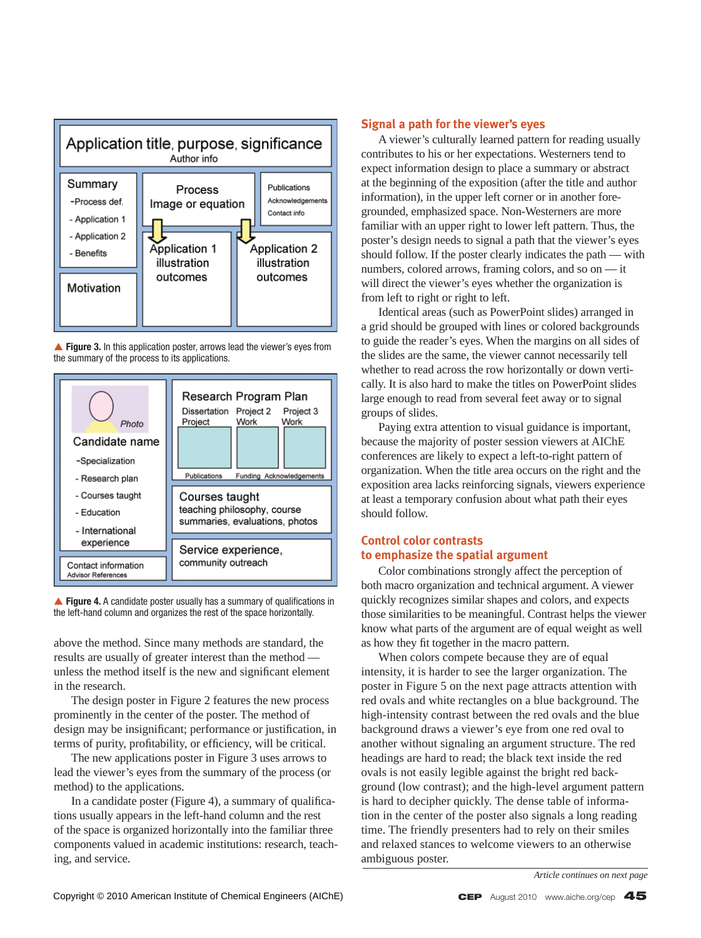

▲ Figure 3. In this application poster, arrows lead the viewer's eyes from the summary of the process to its applications.

![](_page_2_Figure_2.jpeg)

▲ Figure 4. A candidate poster usually has a summary of qualifications in the left-hand column and organizes the rest of the space horizontally.

above the method. Since many methods are standard, the results are usually of greater interest than the method unless the method itself is the new and significant element in the research.

 The design poster in Figure 2 features the new process prominently in the center of the poster. The method of design may be insignificant; performance or justification, in terms of purity, profitability, or efficiency, will be critical.

 The new applications poster in Figure 3 uses arrows to lead the viewer's eyes from the summary of the process (or method) to the applications.

In a candidate poster (Figure 4), a summary of qualifications usually appears in the left-hand column and the rest of the space is organized horizontally into the familiar three components valued in academic institutions: research, teaching, and service.

#### **Signal a path for the viewer's eyes**

 A viewer's culturally learned pattern for reading usually contributes to his or her expectations. Westerners tend to expect information design to place a summary or abstract at the beginning of the exposition (after the title and author information), in the upper left corner or in another foregrounded, emphasized space. Non-Westerners are more familiar with an upper right to lower left pattern. Thus, the poster's design needs to signal a path that the viewer's eyes should follow. If the poster clearly indicates the path — with numbers, colored arrows, framing colors, and so on — it will direct the viewer's eyes whether the organization is from left to right or right to left.

 Identical areas (such as PowerPoint slides) arranged in a grid should be grouped with lines or colored backgrounds to guide the reader's eyes. When the margins on all sides of the slides are the same, the viewer cannot necessarily tell whether to read across the row horizontally or down vertically. It is also hard to make the titles on PowerPoint slides large enough to read from several feet away or to signal groups of slides.

 Paying extra attention to visual guidance is important, because the majority of poster session viewers at AIChE conferences are likely to expect a left-to-right pattern of organization. When the title area occurs on the right and the exposition area lacks reinforcing signals, viewers experience at least a temporary confusion about what path their eyes should follow.

# **Control color contrasts to emphasize the spatial argument**

 Color combinations strongly affect the perception of both macro organization and technical argument. A viewer quickly recognizes similar shapes and colors, and expects those similarities to be meaningful. Contrast helps the viewer know what parts of the argument are of equal weight as well as how they fit together in the macro pattern.

 When colors compete because they are of equal intensity, it is harder to see the larger organization. The poster in Figure 5 on the next page attracts attention with red ovals and white rectangles on a blue background. The high-intensity contrast between the red ovals and the blue background draws a viewer's eye from one red oval to another without signaling an argument structure. The red headings are hard to read; the black text inside the red ovals is not easily legible against the bright red background (low contrast); and the high-level argument pattern is hard to decipher quickly. The dense table of information in the center of the poster also signals a long reading time. The friendly presenters had to rely on their smiles and relaxed stances to welcome viewers to an otherwise ambiguous poster.

*Article continues on next page*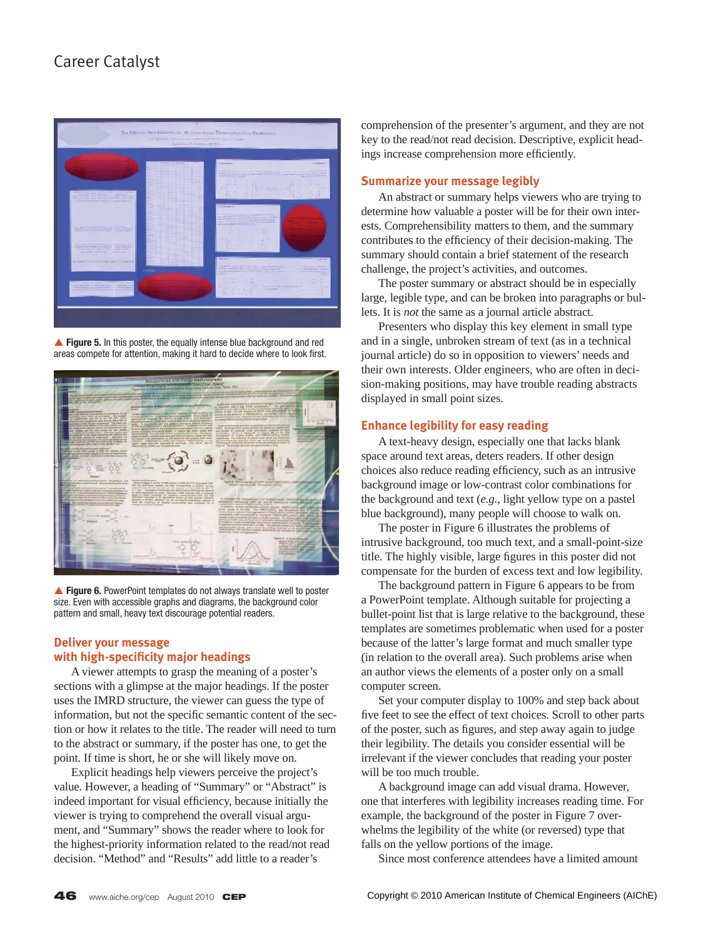![](_page_3_Picture_1.jpeg)

**Figure 5.** In this poster, the equally intense blue background and red areas compete for attention, making it hard to decide where to look first.

![](_page_3_Picture_3.jpeg)

▲ Figure 6. PowerPoint templates do not always translate well to poster size. Even with accessible graphs and diagrams, the background color pattern and small, heavy text discourage potential readers.

# **Deliver your message with high-specificity major headings**

 A viewer attempts to grasp the meaning of a poster's sections with a glimpse at the major headings. If the poster uses the IMRD structure, the viewer can guess the type of information, but not the specific semantic content of the section or how it relates to the title. The reader will need to turn to the abstract or summary, if the poster has one, to get the point. If time is short, he or she will likely move on.

 Explicit headings help viewers perceive the project's value. However, a heading of "Summary" or "Abstract" is indeed important for visual efficiency, because initially the viewer is trying to comprehend the overall visual argument, and "Summary" shows the reader where to look for the highest-priority information related to the read/not read decision. "Method" and "Results" add little to a reader's

comprehension of the presenter's argument, and they are not key to the read/not read decision. Descriptive, explicit headings increase comprehension more efficiently.

## **Summarize your message legibly**

 An abstract or summary helps viewers who are trying to determine how valuable a poster will be for their own interests. Comprehensibility matters to them, and the summary contributes to the efficiency of their decision-making. The summary should contain a brief statement of the research challenge, the project's activities, and outcomes.

 The poster summary or abstract should be in especially large, legible type, and can be broken into paragraphs or bullets. It is *not* the same as a journal article abstract.

 Presenters who display this key element in small type and in a single, unbroken stream of text (as in a technical journal article) do so in opposition to viewers' needs and their own interests. Older engineers, who are often in decision-making positions, may have trouble reading abstracts displayed in small point sizes.

#### **Enhance legibility for easy reading**

 A text-heavy design, especially one that lacks blank space around text areas, deters readers. If other design choices also reduce reading efficiency, such as an intrusive background image or low-contrast color combinations for the background and text (*e.g.*, light yellow type on a pastel blue background), many people will choose to walk on.

 The poster in Figure 6 illustrates the problems of intrusive background, too much text, and a small-point-size title. The highly visible, large figures in this poster did not compensate for the burden of excess text and low legibility.

 The background pattern in Figure 6 appears to be from a PowerPoint template. Although suitable for projecting a bullet-point list that is large relative to the background, these templates are sometimes problematic when used for a poster because of the latter's large format and much smaller type (in relation to the overall area). Such problems arise when an author views the elements of a poster only on a small computer screen.

 Set your computer display to 100% and step back about five feet to see the effect of text choices. Scroll to other parts of the poster, such as figures, and step away again to judge their legibility. The details you consider essential will be irrelevant if the viewer concludes that reading your poster will be too much trouble.

 A background image can add visual drama. However, one that interferes with legibility increases reading time. For example, the background of the poster in Figure 7 overwhelms the legibility of the white (or reversed) type that falls on the yellow portions of the image.

Since most conference attendees have a limited amount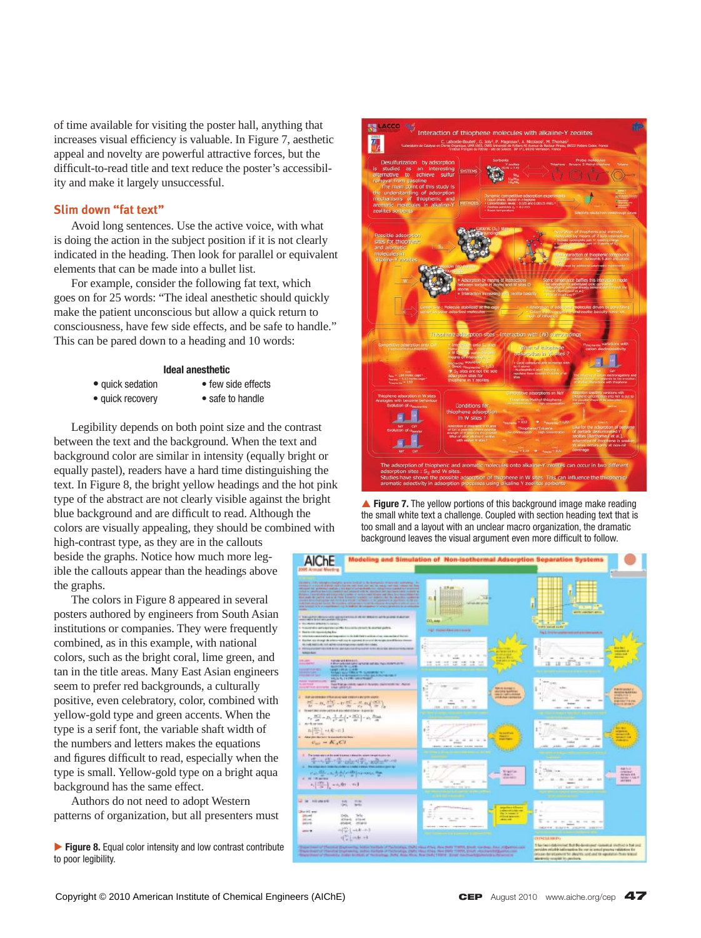of time available for visiting the poster hall, anything that increases visual efficiency is valuable. In Figure 7, aesthetic appeal and novelty are powerful attractive forces, but the difficult-to-read title and text reduce the poster's accessibility and make it largely unsuccessful.

#### **Slim down "fat text"**

 Avoid long sentences. Use the active voice, with what is doing the action in the subject position if it is not clearly indicated in the heading. Then look for parallel or equivalent elements that can be made into a bullet list.

 For example, consider the following fat text, which goes on for 25 words: "The ideal anesthetic should quickly make the patient unconscious but allow a quick return to consciousness, have few side effects, and be safe to handle." This can be pared down to a heading and 10 words:

#### **Ideal anesthetic**

- quick sedation • quick recovery
- few side effects • safe to handle

 Legibility depends on both point size and the contrast between the text and the background. When the text and background color are similar in intensity (equally bright or equally pastel), readers have a hard time distinguishing the text. In Figure 8, the bright yellow headings and the hot pink type of the abstract are not clearly visible against the bright blue background and are difficult to read. Although the colors are visually appealing, they should be combined with

high-contrast type, as they are in the callouts beside the graphs. Notice how much more legible the callouts appear than the headings above the graphs.

 The colors in Figure 8 appeared in several posters authored by engineers from South Asian institutions or companies. They were frequently combined, as in this example, with national colors, such as the bright coral, lime green, and tan in the title areas. Many East Asian engineers seem to prefer red backgrounds, a culturally positive, even celebratory, color, combined with yellow-gold type and green accents. When the type is a serif font, the variable shaft width of the numbers and letters makes the equations and figures difficult to read, especially when the type is small. Yellow-gold type on a bright aqua background has the same effect.

 Authors do not need to adopt Western patterns of organization, but all presenters must

▶ Figure 8. Equal color intensity and low contrast contribute to poor legibility.

![](_page_4_Picture_12.jpeg)

▲ Figure 7. The yellow portions of this background image make reading the small white text a challenge. Coupled with section heading text that is too small and a layout with an unclear macro organization, the dramatic background leaves the visual argument even more difficult to follow.

![](_page_4_Figure_14.jpeg)